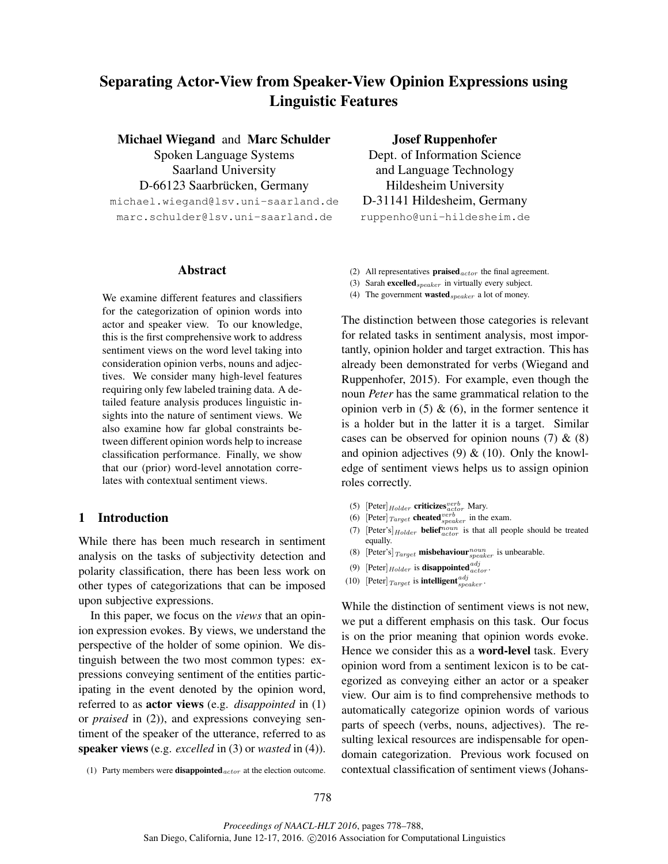# Separating Actor-View from Speaker-View Opinion Expressions using Linguistic Features

Michael Wiegand and Marc Schulder Spoken Language Systems Saarland University D-66123 Saarbrücken, Germany michael.wiegand@lsv.uni-saarland.de marc.schulder@lsv.uni-saarland.de

#### Abstract

We examine different features and classifiers for the categorization of opinion words into actor and speaker view. To our knowledge, this is the first comprehensive work to address sentiment views on the word level taking into consideration opinion verbs, nouns and adjectives. We consider many high-level features requiring only few labeled training data. A detailed feature analysis produces linguistic insights into the nature of sentiment views. We also examine how far global constraints between different opinion words help to increase classification performance. Finally, we show that our (prior) word-level annotation correlates with contextual sentiment views.

## 1 Introduction

While there has been much research in sentiment analysis on the tasks of subjectivity detection and polarity classification, there has been less work on other types of categorizations that can be imposed upon subjective expressions.

In this paper, we focus on the *views* that an opinion expression evokes. By views, we understand the perspective of the holder of some opinion. We distinguish between the two most common types: expressions conveying sentiment of the entities participating in the event denoted by the opinion word, referred to as actor views (e.g. *disappointed* in (1) or *praised* in (2)), and expressions conveying sentiment of the speaker of the utterance, referred to as speaker views (e.g. *excelled* in (3) or *wasted* in (4)).

(1) Party members were **disappointed**  $_{actor}$  at the election outcome.

Josef Ruppenhofer Dept. of Information Science and Language Technology Hildesheim University D-31141 Hildesheim, Germany

ruppenho@uni-hildesheim.de

- (2) All representatives **praised**  $_{actor}$  the final agreement.
- (3) Sarah excelled  ${}_{speaker}$  in virtually every subject.
- (4) The government **wasted**  $s_{\text{peaker}}$  a lot of money.

The distinction between those categories is relevant for related tasks in sentiment analysis, most importantly, opinion holder and target extraction. This has already been demonstrated for verbs (Wiegand and Ruppenhofer, 2015). For example, even though the noun *Peter* has the same grammatical relation to the opinion verb in  $(5)$  &  $(6)$ , in the former sentence it is a holder but in the latter it is a target. Similar cases can be observed for opinion nouns  $(7)$  &  $(8)$ and opinion adjectives  $(9)$  &  $(10)$ . Only the knowledge of sentiment views helps us to assign opinion roles correctly.

- (5) [Peter]  $_{Holder}$  criticizes  $_{actor}^{verb}$  Mary.
- (6) [Peter]  $_{Target}$  cheated  $_{speaker}^{verb}$  in the exam.
- (7) [Peter's]  $Holder$  **belief**  $noun$  is that all people should be treated equally.
- (8) [Peter's]  $_{Target}$  misbehaviour  $_{speaker}^{noun}$  is unbearable.
- (9) [Peter] $_{Holder}$  is **disappointed**  $_{actor}^{adj}$ .
- (10) [Peter]  $_{Target}$  is **intelligent**  $_{speaker}^{adj}$ .

While the distinction of sentiment views is not new, we put a different emphasis on this task. Our focus is on the prior meaning that opinion words evoke. Hence we consider this as a **word-level** task. Every opinion word from a sentiment lexicon is to be categorized as conveying either an actor or a speaker view. Our aim is to find comprehensive methods to automatically categorize opinion words of various parts of speech (verbs, nouns, adjectives). The resulting lexical resources are indispensable for opendomain categorization. Previous work focused on contextual classification of sentiment views (Johans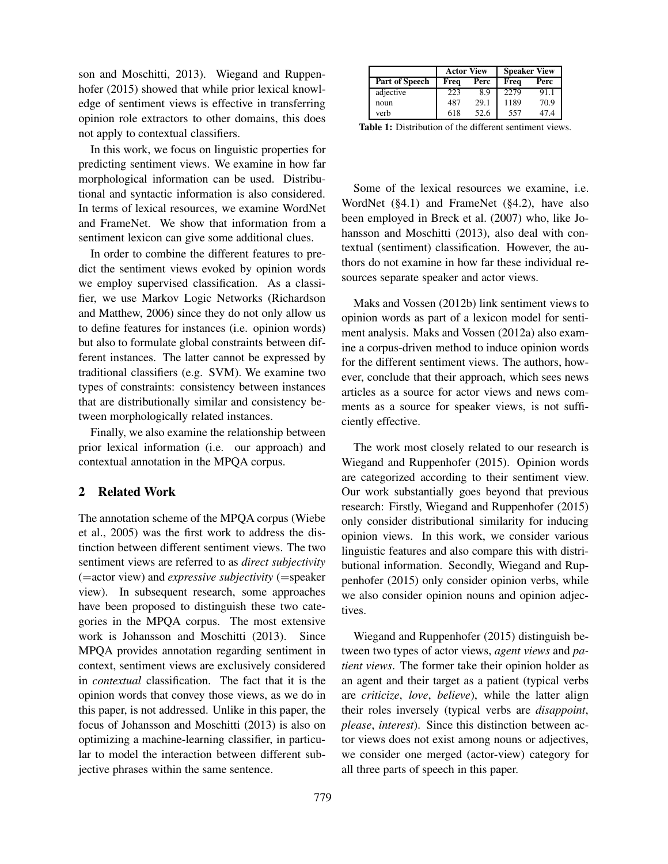son and Moschitti, 2013). Wiegand and Ruppenhofer (2015) showed that while prior lexical knowledge of sentiment views is effective in transferring opinion role extractors to other domains, this does not apply to contextual classifiers.

In this work, we focus on linguistic properties for predicting sentiment views. We examine in how far morphological information can be used. Distributional and syntactic information is also considered. In terms of lexical resources, we examine WordNet and FrameNet. We show that information from a sentiment lexicon can give some additional clues.

In order to combine the different features to predict the sentiment views evoked by opinion words we employ supervised classification. As a classifier, we use Markov Logic Networks (Richardson and Matthew, 2006) since they do not only allow us to define features for instances (i.e. opinion words) but also to formulate global constraints between different instances. The latter cannot be expressed by traditional classifiers (e.g. SVM). We examine two types of constraints: consistency between instances that are distributionally similar and consistency between morphologically related instances.

Finally, we also examine the relationship between prior lexical information (i.e. our approach) and contextual annotation in the MPQA corpus.

# 2 Related Work

The annotation scheme of the MPQA corpus (Wiebe et al., 2005) was the first work to address the distinction between different sentiment views. The two sentiment views are referred to as *direct subjectivity* (=actor view) and *expressive subjectivity* (=speaker view). In subsequent research, some approaches have been proposed to distinguish these two categories in the MPQA corpus. The most extensive work is Johansson and Moschitti (2013). Since MPQA provides annotation regarding sentiment in context, sentiment views are exclusively considered in *contextual* classification. The fact that it is the opinion words that convey those views, as we do in this paper, is not addressed. Unlike in this paper, the focus of Johansson and Moschitti (2013) is also on optimizing a machine-learning classifier, in particular to model the interaction between different subjective phrases within the same sentence.

|                       | <b>Actor View</b> |      | <b>Speaker View</b> |      |  |
|-----------------------|-------------------|------|---------------------|------|--|
| <b>Part of Speech</b> | Frea              | Perc | Freq                | Perc |  |
| adjective             | 223               | 8.9  | 2279                | 91.1 |  |
| noun                  | 487               | 29.1 | 1189                | 70.9 |  |
| verb                  | 618               | 52.6 | 557                 | 47.4 |  |

Table 1: Distribution of the different sentiment views.

Some of the lexical resources we examine, i.e. WordNet (§4.1) and FrameNet (§4.2), have also been employed in Breck et al. (2007) who, like Johansson and Moschitti (2013), also deal with contextual (sentiment) classification. However, the authors do not examine in how far these individual resources separate speaker and actor views.

Maks and Vossen (2012b) link sentiment views to opinion words as part of a lexicon model for sentiment analysis. Maks and Vossen (2012a) also examine a corpus-driven method to induce opinion words for the different sentiment views. The authors, however, conclude that their approach, which sees news articles as a source for actor views and news comments as a source for speaker views, is not sufficiently effective.

The work most closely related to our research is Wiegand and Ruppenhofer (2015). Opinion words are categorized according to their sentiment view. Our work substantially goes beyond that previous research: Firstly, Wiegand and Ruppenhofer (2015) only consider distributional similarity for inducing opinion views. In this work, we consider various linguistic features and also compare this with distributional information. Secondly, Wiegand and Ruppenhofer (2015) only consider opinion verbs, while we also consider opinion nouns and opinion adjectives.

Wiegand and Ruppenhofer (2015) distinguish between two types of actor views, *agent views* and *patient views*. The former take their opinion holder as an agent and their target as a patient (typical verbs are *criticize*, *love*, *believe*), while the latter align their roles inversely (typical verbs are *disappoint*, *please*, *interest*). Since this distinction between actor views does not exist among nouns or adjectives, we consider one merged (actor-view) category for all three parts of speech in this paper.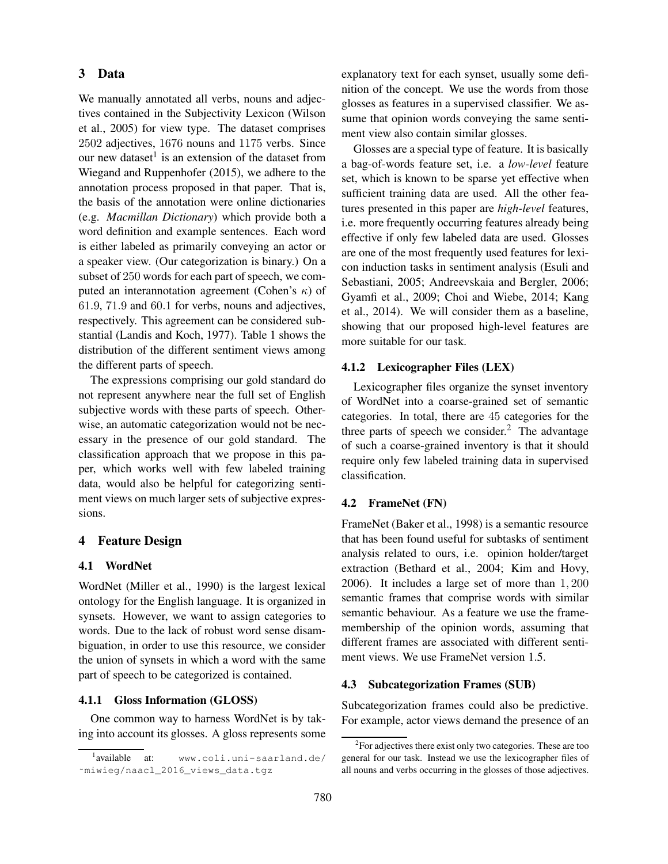# 3 Data

We manually annotated all verbs, nouns and adjectives contained in the Subjectivity Lexicon (Wilson et al., 2005) for view type. The dataset comprises 2502 adjectives, 1676 nouns and 1175 verbs. Since our new dataset<sup>1</sup> is an extension of the dataset from Wiegand and Ruppenhofer (2015), we adhere to the annotation process proposed in that paper. That is, the basis of the annotation were online dictionaries (e.g. *Macmillan Dictionary*) which provide both a word definition and example sentences. Each word is either labeled as primarily conveying an actor or a speaker view. (Our categorization is binary.) On a subset of 250 words for each part of speech, we computed an interannotation agreement (Cohen's  $\kappa$ ) of 61.9, 71.9 and 60.1 for verbs, nouns and adjectives, respectively. This agreement can be considered substantial (Landis and Koch, 1977). Table 1 shows the distribution of the different sentiment views among the different parts of speech.

The expressions comprising our gold standard do not represent anywhere near the full set of English subjective words with these parts of speech. Otherwise, an automatic categorization would not be necessary in the presence of our gold standard. The classification approach that we propose in this paper, which works well with few labeled training data, would also be helpful for categorizing sentiment views on much larger sets of subjective expressions.

## 4 Feature Design

# 4.1 WordNet

WordNet (Miller et al., 1990) is the largest lexical ontology for the English language. It is organized in synsets. However, we want to assign categories to words. Due to the lack of robust word sense disambiguation, in order to use this resource, we consider the union of synsets in which a word with the same part of speech to be categorized is contained.

#### 4.1.1 Gloss Information (GLOSS)

One common way to harness WordNet is by taking into account its glosses. A gloss represents some explanatory text for each synset, usually some definition of the concept. We use the words from those glosses as features in a supervised classifier. We assume that opinion words conveying the same sentiment view also contain similar glosses.

Glosses are a special type of feature. It is basically a bag-of-words feature set, i.e. a *low-level* feature set, which is known to be sparse yet effective when sufficient training data are used. All the other features presented in this paper are *high-level* features, i.e. more frequently occurring features already being effective if only few labeled data are used. Glosses are one of the most frequently used features for lexicon induction tasks in sentiment analysis (Esuli and Sebastiani, 2005; Andreevskaia and Bergler, 2006; Gyamfi et al., 2009; Choi and Wiebe, 2014; Kang et al., 2014). We will consider them as a baseline, showing that our proposed high-level features are more suitable for our task.

## 4.1.2 Lexicographer Files (LEX)

Lexicographer files organize the synset inventory of WordNet into a coarse-grained set of semantic categories. In total, there are 45 categories for the three parts of speech we consider. $<sup>2</sup>$  The advantage</sup> of such a coarse-grained inventory is that it should require only few labeled training data in supervised classification.

#### 4.2 FrameNet (FN)

FrameNet (Baker et al., 1998) is a semantic resource that has been found useful for subtasks of sentiment analysis related to ours, i.e. opinion holder/target extraction (Bethard et al., 2004; Kim and Hovy, 2006). It includes a large set of more than 1, 200 semantic frames that comprise words with similar semantic behaviour. As a feature we use the framemembership of the opinion words, assuming that different frames are associated with different sentiment views. We use FrameNet version 1.5.

#### 4.3 Subcategorization Frames (SUB)

Subcategorization frames could also be predictive. For example, actor views demand the presence of an

<sup>&</sup>lt;sup>1</sup> available at: www.coli.uni-saarland.de/ ˜miwieg/naacl\_2016\_views\_data.tgz

 ${}^{2}$ For adjectives there exist only two categories. These are too general for our task. Instead we use the lexicographer files of all nouns and verbs occurring in the glosses of those adjectives.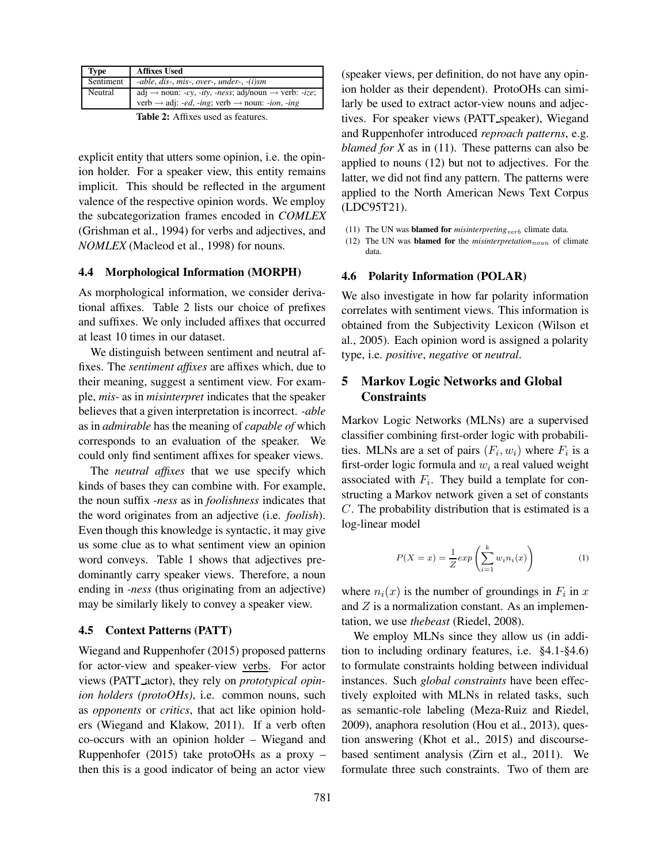| Type      | <b>Affixes Used</b>                                                                                   |
|-----------|-------------------------------------------------------------------------------------------------------|
| Sentiment | -able, dis-, mis-, over-, under-, $-(i)$ sm                                                           |
| Neutral   | adj $\rightarrow$ noun: -cy, -ity, -ness; adj/noun $\rightarrow$ verb: -ize;                          |
|           | verb $\rightarrow$ adj: <i>-ed</i> , <i>-ing</i> ; verb $\rightarrow$ noun: <i>-ion</i> , <i>-ing</i> |
|           | $T1.1.2.4c$ $T2.4c$                                                                                   |

Table 2: Affixes used as features.

explicit entity that utters some opinion, i.e. the opinion holder. For a speaker view, this entity remains implicit. This should be reflected in the argument valence of the respective opinion words. We employ the subcategorization frames encoded in *COMLEX* (Grishman et al., 1994) for verbs and adjectives, and *NOMLEX* (Macleod et al., 1998) for nouns.

## 4.4 Morphological Information (MORPH)

As morphological information, we consider derivational affixes. Table 2 lists our choice of prefixes and suffixes. We only included affixes that occurred at least 10 times in our dataset.

We distinguish between sentiment and neutral affixes. The *sentiment affixes* are affixes which, due to their meaning, suggest a sentiment view. For example, *mis-* as in *misinterpret* indicates that the speaker believes that a given interpretation is incorrect. *-able* as in *admirable* has the meaning of *capable of* which corresponds to an evaluation of the speaker. We could only find sentiment affixes for speaker views.

The *neutral affixes* that we use specify which kinds of bases they can combine with. For example, the noun suffix *-ness* as in *foolishness* indicates that the word originates from an adjective (i.e. *foolish*). Even though this knowledge is syntactic, it may give us some clue as to what sentiment view an opinion word conveys. Table 1 shows that adjectives predominantly carry speaker views. Therefore, a noun ending in *-ness* (thus originating from an adjective) may be similarly likely to convey a speaker view.

## 4.5 Context Patterns (PATT)

Wiegand and Ruppenhofer (2015) proposed patterns for actor-view and speaker-view verbs. For actor views (PATT actor), they rely on *prototypical opinion holders (protoOHs)*, i.e. common nouns, such as *opponents* or *critics*, that act like opinion holders (Wiegand and Klakow, 2011). If a verb often co-occurs with an opinion holder – Wiegand and Ruppenhofer (2015) take protoOHs as a proxy – then this is a good indicator of being an actor view (speaker views, per definition, do not have any opinion holder as their dependent). ProtoOHs can similarly be used to extract actor-view nouns and adjectives. For speaker views (PATT speaker), Wiegand and Ruppenhofer introduced *reproach patterns*, e.g. *blamed for X* as in (11). These patterns can also be applied to nouns (12) but not to adjectives. For the latter, we did not find any pattern. The patterns were applied to the North American News Text Corpus (LDC95T21).

- (11) The UN was **blamed for** *misinterpreting*<sub>verb</sub> climate data.
- (12) The UN was **blamed for** the *misinterpretation*<sub>noun</sub> of climate data.

## 4.6 Polarity Information (POLAR)

We also investigate in how far polarity information correlates with sentiment views. This information is obtained from the Subjectivity Lexicon (Wilson et al., 2005). Each opinion word is assigned a polarity type, i.e. *positive*, *negative* or *neutral*.

# 5 Markov Logic Networks and Global **Constraints**

Markov Logic Networks (MLNs) are a supervised classifier combining first-order logic with probabilities. MLNs are a set of pairs  $(F_i, w_i)$  where  $F_i$  is a first-order logic formula and  $w_i$  a real valued weight associated with  $F_i$ . They build a template for constructing a Markov network given a set of constants C. The probability distribution that is estimated is a log-linear model

$$
P(X = x) = \frac{1}{Z} exp\left(\sum_{i=1}^{k} w_i n_i(x)\right)
$$
 (1)

where  $n_i(x)$  is the number of groundings in  $F_i$  in x and  $Z$  is a normalization constant. As an implementation, we use *thebeast* (Riedel, 2008).

We employ MLNs since they allow us (in addition to including ordinary features, i.e. §4.1-§4.6) to formulate constraints holding between individual instances. Such *global constraints* have been effectively exploited with MLNs in related tasks, such as semantic-role labeling (Meza-Ruiz and Riedel, 2009), anaphora resolution (Hou et al., 2013), question answering (Khot et al., 2015) and discoursebased sentiment analysis (Zirn et al., 2011). We formulate three such constraints. Two of them are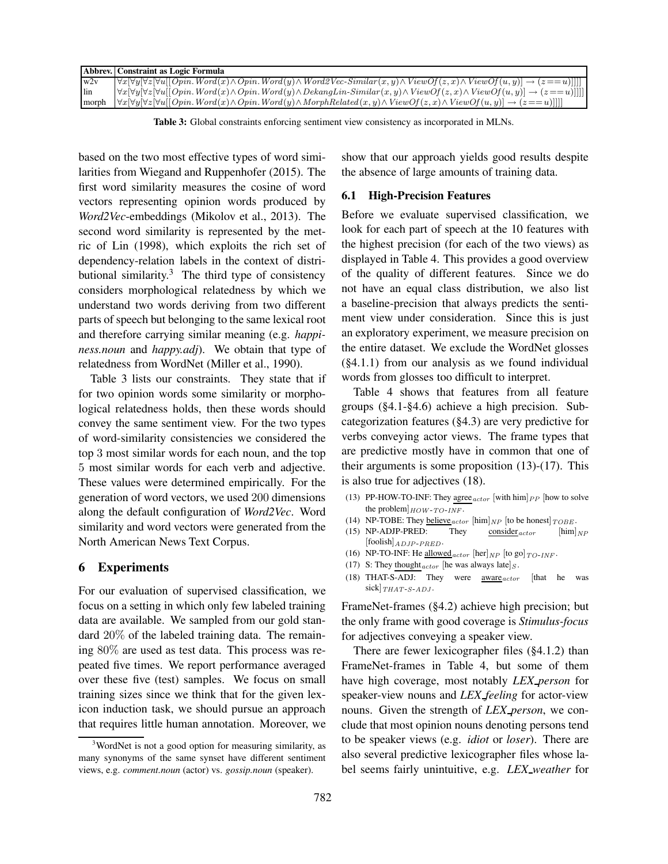|       | Abbrev. Constraint as Logic Formula                                                                                                                                       |
|-------|---------------------------------------------------------------------------------------------------------------------------------------------------------------------------|
| w2v   | $\forall x \forall y \forall z \forall u [[Opin. Word(x) \wedge Opin. Word(y) \wedge WordVecSimilar(x, y) \wedge ViewOf(z, x) \wedge ViewOf(u, y)] \rightarrow (z == u)]$ |
| lin   | $\forall x \forall y \forall z \forall u [Opin. Word(x) \land Opin. Word(y) \land DekangLin-Similar(x, y) \land ViewOf(x, x) \land ViewOf(u, y)] \rightarrow (z == u)$    |
| morph | $\forall x \forall y \forall z \forall u [Opin. Word(x) \wedge Opin. Word(y) \wedge MorphRelated(x, y) \wedge ViewOf(z, x) \wedge ViewOf(u, y)] \rightarrow (z == u)$     |

Table 3: Global constraints enforcing sentiment view consistency as incorporated in MLNs.

based on the two most effective types of word similarities from Wiegand and Ruppenhofer (2015). The first word similarity measures the cosine of word vectors representing opinion words produced by *Word2Vec*-embeddings (Mikolov et al., 2013). The second word similarity is represented by the metric of Lin (1998), which exploits the rich set of dependency-relation labels in the context of distributional similarity. $3$  The third type of consistency considers morphological relatedness by which we understand two words deriving from two different parts of speech but belonging to the same lexical root and therefore carrying similar meaning (e.g. *happiness.noun* and *happy.adj*). We obtain that type of relatedness from WordNet (Miller et al., 1990).

Table 3 lists our constraints. They state that if for two opinion words some similarity or morphological relatedness holds, then these words should convey the same sentiment view. For the two types of word-similarity consistencies we considered the top 3 most similar words for each noun, and the top 5 most similar words for each verb and adjective. These values were determined empirically. For the generation of word vectors, we used 200 dimensions along the default configuration of *Word2Vec*. Word similarity and word vectors were generated from the North American News Text Corpus.

## 6 Experiments

For our evaluation of supervised classification, we focus on a setting in which only few labeled training data are available. We sampled from our gold standard 20% of the labeled training data. The remaining 80% are used as test data. This process was repeated five times. We report performance averaged over these five (test) samples. We focus on small training sizes since we think that for the given lexicon induction task, we should pursue an approach that requires little human annotation. Moreover, we show that our approach yields good results despite the absence of large amounts of training data.

#### 6.1 High-Precision Features

Before we evaluate supervised classification, we look for each part of speech at the 10 features with the highest precision (for each of the two views) as displayed in Table 4. This provides a good overview of the quality of different features. Since we do not have an equal class distribution, we also list a baseline-precision that always predicts the sentiment view under consideration. Since this is just an exploratory experiment, we measure precision on the entire dataset. We exclude the WordNet glosses (§4.1.1) from our analysis as we found individual words from glosses too difficult to interpret.

Table 4 shows that features from all feature groups (§4.1-§4.6) achieve a high precision. Subcategorization features (§4.3) are very predictive for verbs conveying actor views. The frame types that are predictive mostly have in common that one of their arguments is some proposition (13)-(17). This is also true for adjectives (18).

- (13) PP-HOW-TO-INF: They agree  $_{actor}$  [with him]  $_{PP}$  [how to solve the problem] $_{HOW-TO-INF}$ .
- (14) NP-TOBE: They believe  $_{actor}$  [him]  $_{NP}$  [to be honest]  $_{TOBE}$ .
- (15) NP-ADJP-PRED: They consider  $_{actor}$  [him] $_{NP}$  $[{\rm{foolish}}]_{ADJP-PRED}.$
- (16) NP-TO-INF: He allowed  $_{actor}$  [her]  $_{NP}$  [to go]  $_{TO-INF}$ .
- (17) S: They thought  $_{actor}$  [he was always late]  $_S$ .
- (18) THAT-S-ADJ: They were  $\frac{\text{aware}_{actor}}{\text{factor}}$  [that he was sick]  $THAT-S-ADJ$ .

FrameNet-frames (§4.2) achieve high precision; but the only frame with good coverage is *Stimulus-focus* for adjectives conveying a speaker view.

There are fewer lexicographer files (§4.1.2) than FrameNet-frames in Table 4, but some of them have high coverage, most notably *LEX person* for speaker-view nouns and *LEX feeling* for actor-view nouns. Given the strength of *LEX person*, we conclude that most opinion nouns denoting persons tend to be speaker views (e.g. *idiot* or *loser*). There are also several predictive lexicographer files whose label seems fairly unintuitive, e.g. *LEX weather* for

<sup>&</sup>lt;sup>3</sup>WordNet is not a good option for measuring similarity, as many synonyms of the same synset have different sentiment views, e.g. *comment.noun* (actor) vs. *gossip.noun* (speaker).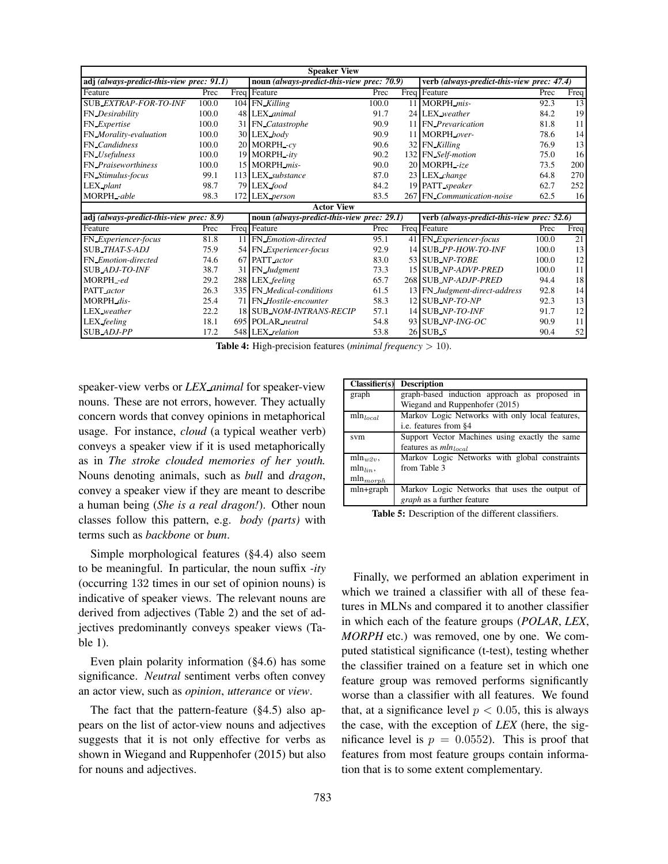|                                           |       | <b>Speaker View</b>                        |       |                                            |       |      |
|-------------------------------------------|-------|--------------------------------------------|-------|--------------------------------------------|-------|------|
| adj (always-predict-this-view prec: 91.1) |       | noun (always-predict-this-view prec: 70.9) |       | verb (always-predict-this-view prec: 47.4) |       |      |
| Feature                                   | Prec  | Freq Feature                               | Prec  | Freq Feature                               | Prec  | Freq |
| <b>SUB_EXTRAP-FOR-TO-INF</b>              | 100.0 | 104 FN Killing                             | 100.0 | 11 MORPH mis-                              | 92.3  | 13   |
| FN_Desirability                           | 100.0 | 48 LEX animal                              | 91.7  | 24 LEX_weather                             | 84.2  | 19   |
| FN_Expertise                              | 100.0 | 31 FN Catastrophe                          | 90.9  | 11 FN Prevarication                        | 81.8  | 11   |
| FN_Morality-evaluation                    | 100.0 | 30 LEX body                                | 90.9  | 11 MORPH over-                             | 78.6  | 14   |
| <b>FN</b> Candidness                      | 100.0 | 20 MORPH -cv                               | 90.6  | 32 FN Killing                              | 76.9  | 13   |
| FN_Usefulness                             | 100.0 | 19 MORPH -ity                              | 90.2  | 132 FN Self-motion                         | 75.0  | 16   |
| <b>FN</b> Praiseworthiness                | 100.0 | 15 MORPH_mis-                              | 90.0  | 20 MORPH -ize                              | 73.5  | 200  |
| FN Stimulus-focus                         | 99.1  | 113 LEX substance                          | 87.0  | 23 LEX change                              | 64.8  | 270  |
| LEX plant                                 | 98.7  | 79 LEX food                                | 84.2  | 19 PATT speaker                            | 62.7  | 252  |
| MORPH -able                               | 98.3  | 172 LEX person                             | 83.5  | 267 FN Communication-noise                 | 62.5  | 16   |
|                                           |       | <b>Actor View</b>                          |       |                                            |       |      |
| adj (always-predict-this-view prec: 8.9)  |       | noun (always-predict-this-view prec: 29.1) |       | verb (always-predict-this-view prec: 52.6) |       |      |
| Feature                                   | Prec  | Freq Feature                               | Prec  | Freq Feature                               | Prec  | Freq |
| FN_Experiencer-focus                      | 81.8  | 11 FN Emotion-directed                     | 95.1  | 41 FN Experiencer-focus                    | 100.0 | 21   |
| SUB_THAT-S-ADJ                            | 75.9  | 54 FN Experiencer-focus                    | 92.9  | 14 SUB_PP-HOW-TO-INF                       | 100.0 | 13   |
| FN_Emotion-directed                       | 74.6  | 67 PATT actor                              | 83.0  | 53 SUB NP-TOBE                             | 100.0 | 12   |
| <b>SUB_ADJ-TO-INF</b>                     | 38.7  | 31 FN Judgment                             | 73.3  | 15 SUB_NP-ADVP-PRED                        | 100.0 | 11   |
| MORPH-ed                                  | 29.2  | 288 LEX feeling                            | 65.7  | 268 SUB NP-ADJP-PRED                       | 94.4  | 18   |
| PATT actor                                | 26.3  | 335 FN Medical-conditions                  | 61.5  | 13 FN_Judgment-direct-address              | 92.8  | 14   |
| MORPH dis-                                | 25.4  | 71 FN_Hostile-encounter                    | 58.3  | $12$ SUB NP-TO-NP                          | 92.3  | 13   |
| LEX weather                               | 22.2  | 18 SUB NOM-INTRANS-RECIP                   | 57.1  | 14 SUB_NP-TO-INF                           | 91.7  | 12   |
| LEX feeling                               | 18.1  | 695 POLAR neutral                          | 54.8  | 93 SUB_NP-ING-OC                           | 90.9  | 11   |
| SUB ADJ-PP                                | 17.2  | 548 LEX relation                           | 53.8  | 26 SUB S                                   | 90.4  | 52   |

Table 4: High-precision features (*minimal frequency* > 10).

speaker-view verbs or *LEX animal* for speaker-view nouns. These are not errors, however. They actually concern words that convey opinions in metaphorical usage. For instance, *cloud* (a typical weather verb) conveys a speaker view if it is used metaphorically as in *The stroke clouded memories of her youth.* Nouns denoting animals, such as *bull* and *dragon*, convey a speaker view if they are meant to describe a human being (*She is a real dragon!*). Other noun classes follow this pattern, e.g. *body (parts)* with terms such as *backbone* or *bum*.

Simple morphological features (§4.4) also seem to be meaningful. In particular, the noun suffix *-ity* (occurring 132 times in our set of opinion nouns) is indicative of speaker views. The relevant nouns are derived from adjectives (Table 2) and the set of adjectives predominantly conveys speaker views (Table 1).

Even plain polarity information (§4.6) has some significance. *Neutral* sentiment verbs often convey an actor view, such as *opinion*, *utterance* or *view*.

The fact that the pattern-feature (§4.5) also appears on the list of actor-view nouns and adjectives suggests that it is not only effective for verbs as shown in Wiegand and Ruppenhofer (2015) but also for nouns and adjectives.

| Classifier(s)          | <b>Description</b>                              |
|------------------------|-------------------------------------------------|
| graph                  | graph-based induction approach as proposed in   |
|                        | Wiegand and Ruppenhofer (2015)                  |
| $\mathrm{mln}_{local}$ | Markov Logic Networks with only local features, |
|                        | i.e. features from §4                           |
| svm                    | Support Vector Machines using exactly the same  |
|                        | features as $mln_{local}$                       |
| $\min_{w \geq v}$      | Markov Logic Networks with global constraints   |
| $mln_{lin}$ ,          | from Table 3                                    |
| $\min_{morph}$         |                                                 |
| mln+graph              | Markov Logic Networks that uses the output of   |
|                        | graph as a further feature                      |

Table 5: Description of the different classifiers.

Finally, we performed an ablation experiment in which we trained a classifier with all of these features in MLNs and compared it to another classifier in which each of the feature groups (*POLAR*, *LEX*, *MORPH* etc.) was removed, one by one. We computed statistical significance (t-test), testing whether the classifier trained on a feature set in which one feature group was removed performs significantly worse than a classifier with all features. We found that, at a significance level  $p < 0.05$ , this is always the case, with the exception of *LEX* (here, the significance level is  $p = 0.0552$ . This is proof that features from most feature groups contain information that is to some extent complementary.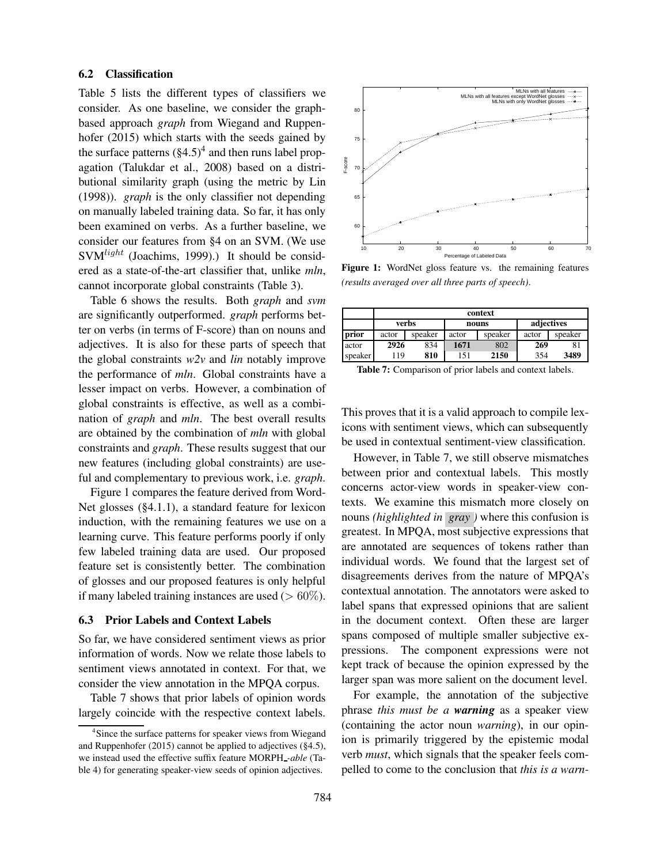## 6.2 Classification

Table 5 lists the different types of classifiers we consider. As one baseline, we consider the graphbased approach *graph* from Wiegand and Ruppenhofer (2015) which starts with the seeds gained by the surface patterns  $(\S4.5)^4$  and then runs label propagation (Talukdar et al., 2008) based on a distributional similarity graph (using the metric by Lin (1998)). *graph* is the only classifier not depending on manually labeled training data. So far, it has only been examined on verbs. As a further baseline, we consider our features from §4 on an SVM. (We use  $SVM<sup>light</sup>$  (Joachims, 1999).) It should be considered as a state-of-the-art classifier that, unlike *mln*, cannot incorporate global constraints (Table 3).

Table 6 shows the results. Both *graph* and *svm* are significantly outperformed. *graph* performs better on verbs (in terms of F-score) than on nouns and adjectives. It is also for these parts of speech that the global constraints *w2v* and *lin* notably improve the performance of *mln*. Global constraints have a lesser impact on verbs. However, a combination of global constraints is effective, as well as a combination of *graph* and *mln*. The best overall results are obtained by the combination of *mln* with global constraints and *graph*. These results suggest that our new features (including global constraints) are useful and complementary to previous work, i.e. *graph*.

Figure 1 compares the feature derived from Word-Net glosses (§4.1.1), a standard feature for lexicon induction, with the remaining features we use on a learning curve. This feature performs poorly if only few labeled training data are used. Our proposed feature set is consistently better. The combination of glosses and our proposed features is only helpful if many labeled training instances are used ( $> 60\%$ ).

### 6.3 Prior Labels and Context Labels

So far, we have considered sentiment views as prior information of words. Now we relate those labels to sentiment views annotated in context. For that, we consider the view annotation in the MPQA corpus.

Table 7 shows that prior labels of opinion words largely coincide with the respective context labels.



Figure 1: WordNet gloss feature vs. the remaining features *(results averaged over all three parts of speech)*.

|         |       | context |       |         |            |         |  |  |  |
|---------|-------|---------|-------|---------|------------|---------|--|--|--|
|         |       | verbs   |       | nouns   | adjectives |         |  |  |  |
| prior   | actor | speaker | actor | speaker | actor      | speaker |  |  |  |
| actor   | 2926  | 834     | 1671  | 802     | 269        | 81      |  |  |  |
| speaker | 19    | 810     | 151   | 2150    | 354        | 3489    |  |  |  |

This proves that it is a valid approach to compile lexicons with sentiment views, which can subsequently be used in contextual sentiment-view classification.

However, in Table 7, we still observe mismatches between prior and contextual labels. This mostly concerns actor-view words in speaker-view contexts. We examine this mismatch more closely on nouns *(highlighted in gray )* where this confusion is greatest. In MPQA, most subjective expressions that are annotated are sequences of tokens rather than individual words. We found that the largest set of disagreements derives from the nature of MPQA's contextual annotation. The annotators were asked to label spans that expressed opinions that are salient in the document context. Often these are larger spans composed of multiple smaller subjective expressions. The component expressions were not kept track of because the opinion expressed by the larger span was more salient on the document level.

For example, the annotation of the subjective phrase *this must be a warning* as a speaker view (containing the actor noun *warning*), in our opinion is primarily triggered by the epistemic modal verb *must*, which signals that the speaker feels compelled to come to the conclusion that *this is a warn-*

<sup>&</sup>lt;sup>4</sup>Since the surface patterns for speaker views from Wiegand and Ruppenhofer (2015) cannot be applied to adjectives (§4.5), we instead used the effective suffix feature MORPH *-able* (Table 4) for generating speaker-view seeds of opinion adjectives.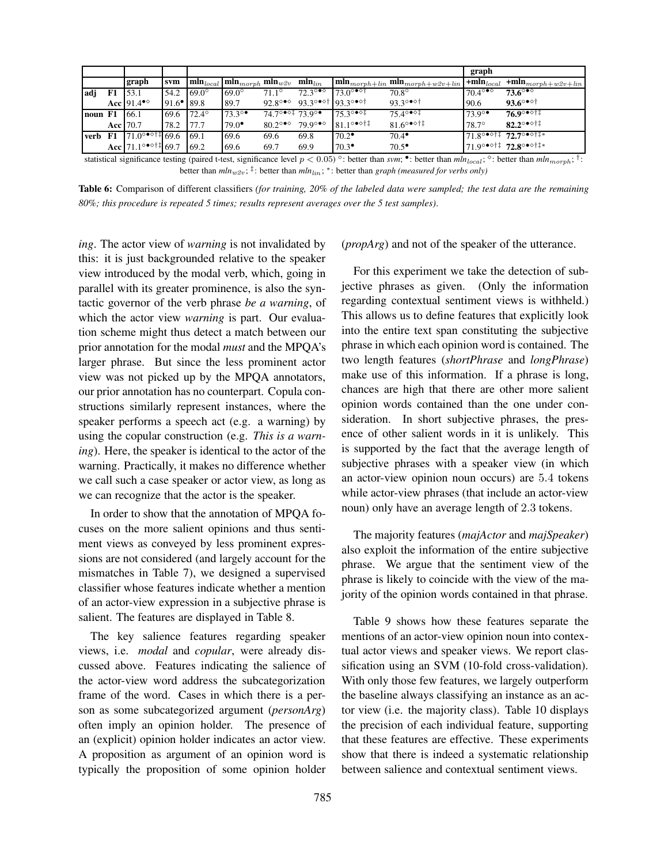|         |    |                                                            |                          |              |                                                              |                                            |                                 |                                                   |                                                                                                                                        | graph                             |                                                                                                        |
|---------|----|------------------------------------------------------------|--------------------------|--------------|--------------------------------------------------------------|--------------------------------------------|---------------------------------|---------------------------------------------------|----------------------------------------------------------------------------------------------------------------------------------------|-----------------------------------|--------------------------------------------------------------------------------------------------------|
|         |    | graph                                                      | svm                      |              | $\text{min}_{local}$ $\text{min}_{morph}$ $\text{min}_{w2v}$ |                                            | $\mathbf{min}_{lin}$            |                                                   | $\ \textbf{mln}_{morph+lin}\textbf{mln}_{morph+w2v+lin}\ $                                                                             | $\pm$ <b>mln</b> <sub>local</sub> | $+mln_{morph+ w2v+lin}$                                                                                |
| adj     | F1 | 53.1                                                       | 54.2                     | $69.0^\circ$ | $69.0^\circ$                                                 | $71.1^\circ$                               | $72.3^{\circ \bullet \diamond}$ | $73.0^{\circ}$ <sup>**</sup>                      | $70.8^\circ$                                                                                                                           | $70.4^{\circ \bullet \diamond}$   | $73.6^{\circ}$                                                                                         |
|         |    | Acc $91.4$ <sup>o</sup>                                    | $91.6$ <sup>•</sup> 89.8 |              | 89.7                                                         |                                            |                                 | 92.8°** 93.3°** 93.3°**                           | $93.3^{\circ}$ of                                                                                                                      | 90.6                              | 93.6° $\bullet$ <sup>o+</sup>                                                                          |
| noun F1 |    | 166.1                                                      | 69.6                     | $72.4^\circ$ | $73.3^\circ$                                                 | $74.7^{\circ}$ <sup>*</sup> $73.9^{\circ}$ |                                 | $175.3^{\circ}$ <sup>*</sup>                      | $75.4^{\circ}$                                                                                                                         | $73.9^\circ$                      | 76.9∘∙া‡                                                                                               |
|         |    | Acc   70.7                                                 | 78.2                     | 77.7         | $79.0^{\circ}$                                               | 80.2°* $\degree$ 79.9°* $\degree$          |                                 | $81.1^\circ$ <sup>o <math>\diamond</math>†‡</sup> | $81.6^{\circ}$ $\bullet$ $\circ$ † ‡                                                                                                   | 78.7°                             | $82.2^{\circ \bullet \diamond + \ddagger}$                                                             |
| verb    | F1 | $71.0^{\circ}$ <sup>o <math>\circ</math>†‡ 69.6</sup>      |                          | 69.1         | 69.6                                                         | 69.6                                       | 69.8                            | $70.2^{\bullet}$                                  | $70.4^{\circ}$                                                                                                                         |                                   | $71.8^{\circ \bullet \diamond \uparrow \ddagger}$ 72.7 $^{\circ \bullet \diamond \uparrow \ddagger *}$ |
|         |    | Acc $71.1^{\circ \bullet \diamond \uparrow \ddagger}$ 69.7 |                          | 69.2         | 69.6                                                         | 69.7                                       | 69.9                            | $70.3^{\circ}$                                    | $70.5^{\circ}$                                                                                                                         |                                   | 71.9°* <sup>o†‡</sup> 72.8°* <sup>o†‡</sup> *                                                          |
|         |    |                                                            |                          |              |                                                              |                                            |                                 |                                                   | ototiotical cientral pouco testing (noised t toot, gianificance layed $\alpha > 0.05$ ) a hottom them sum $\bullet$ , bottom them sulu |                                   | .                                                                                                      |

statistical significance testing (paired t-test, significance level  $p < 0.05$ )<sup>o</sup>: better than *svm*; •: better than  $mln_{local}$ ; <sup>6</sup>: better than  $mln_{normal}$ ; <sup>†</sup>: better than  $mln_{w2v}$ ; <sup>‡</sup>: better than  $mln_{lin}$ ;  $*$ : better than *graph (measured for verbs only)* 

Table 6: Comparison of different classifiers *(for training, 20% of the labeled data were sampled; the test data are the remaining 80%; this procedure is repeated 5 times; results represent averages over the 5 test samples)*.

*ing*. The actor view of *warning* is not invalidated by this: it is just backgrounded relative to the speaker view introduced by the modal verb, which, going in parallel with its greater prominence, is also the syntactic governor of the verb phrase *be a warning*, of which the actor view *warning* is part. Our evaluation scheme might thus detect a match between our prior annotation for the modal *must* and the MPQA's larger phrase. But since the less prominent actor view was not picked up by the MPQA annotators, our prior annotation has no counterpart. Copula constructions similarly represent instances, where the speaker performs a speech act (e.g. a warning) by using the copular construction (e.g. *This is a warning*). Here, the speaker is identical to the actor of the warning. Practically, it makes no difference whether we call such a case speaker or actor view, as long as we can recognize that the actor is the speaker.

In order to show that the annotation of MPQA focuses on the more salient opinions and thus sentiment views as conveyed by less prominent expressions are not considered (and largely account for the mismatches in Table 7), we designed a supervised classifier whose features indicate whether a mention of an actor-view expression in a subjective phrase is salient. The features are displayed in Table 8.

The key salience features regarding speaker views, i.e. *modal* and *copular*, were already discussed above. Features indicating the salience of the actor-view word address the subcategorization frame of the word. Cases in which there is a person as some subcategorized argument (*personArg*) often imply an opinion holder. The presence of an (explicit) opinion holder indicates an actor view. A proposition as argument of an opinion word is typically the proposition of some opinion holder

(*propArg*) and not of the speaker of the utterance.

For this experiment we take the detection of subjective phrases as given. (Only the information regarding contextual sentiment views is withheld.) This allows us to define features that explicitly look into the entire text span constituting the subjective phrase in which each opinion word is contained. The two length features (*shortPhrase* and *longPhrase*) make use of this information. If a phrase is long, chances are high that there are other more salient opinion words contained than the one under consideration. In short subjective phrases, the presence of other salient words in it is unlikely. This is supported by the fact that the average length of subjective phrases with a speaker view (in which an actor-view opinion noun occurs) are 5.4 tokens while actor-view phrases (that include an actor-view noun) only have an average length of 2.3 tokens.

The majority features (*majActor* and *majSpeaker*) also exploit the information of the entire subjective phrase. We argue that the sentiment view of the phrase is likely to coincide with the view of the majority of the opinion words contained in that phrase.

Table 9 shows how these features separate the mentions of an actor-view opinion noun into contextual actor views and speaker views. We report classification using an SVM (10-fold cross-validation). With only those few features, we largely outperform the baseline always classifying an instance as an actor view (i.e. the majority class). Table 10 displays the precision of each individual feature, supporting that these features are effective. These experiments show that there is indeed a systematic relationship between salience and contextual sentiment views.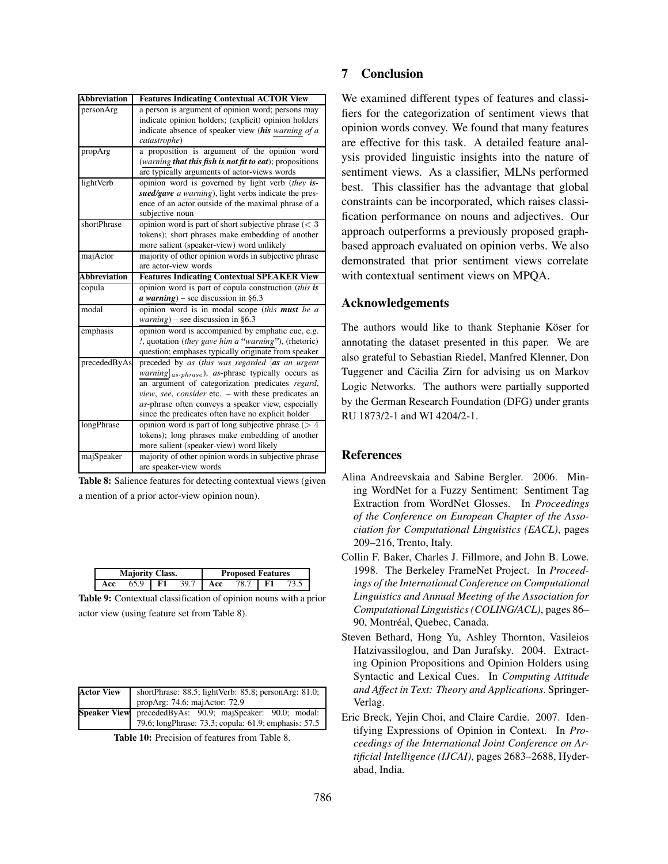| <b>Abbreviation</b> | <b>Features Indicating Contextual ACTOR View</b>                       |
|---------------------|------------------------------------------------------------------------|
| personArg           | a person is argument of opinion word; persons may                      |
|                     | indicate opinion holders; (explicit) opinion holders                   |
|                     | indicate absence of speaker view (his warning of a                     |
|                     | catastrophe)                                                           |
| propArg             | a proposition is argument of the opinion word                          |
|                     | (warning that this fish is not fit to eat); propositions               |
|                     | are typically arguments of actor-views words                           |
| lightVerb           | opinion word is governed by light verb (they is-                       |
|                     | sued/gave a warning), light verbs indicate the pres-                   |
|                     | ence of an actor outside of the maximal phrase of a                    |
|                     | subjective noun                                                        |
| shortPhrase         | opinion word is part of short subjective phrase $(< 3$                 |
|                     | tokens); short phrases make embedding of another                       |
|                     | more salient (speaker-view) word unlikely                              |
| majActor            | majority of other opinion words in subjective phrase                   |
|                     | are actor-view words                                                   |
| <b>Abbreviation</b> | <b>Features Indicating Contextual SPEAKER View</b>                     |
| copula              | opinion word is part of copula construction (this is                   |
|                     | $a warning$ ) – see discussion in §6.3                                 |
| modal               | opinion word is in modal scope (this must be a                         |
|                     | $warning$ ) – see discussion in §6.3                                   |
| emphasis            | opinion word is accompanied by emphatic cue, e.g.                      |
|                     | !, quotation (they gave him a "warning"), (rhetoric)                   |
|                     | question; emphases typically originate from speaker                    |
| precededByAs        | preceded by as (this was regarded [as an urgent                        |
|                     | <i>warning</i> ] <sub>as-phrase</sub> ), as-phrase typically occurs as |
|                     | an argument of categorization predicates regard,                       |
|                     | view, see, consider etc. - with these predicates an                    |
|                     | as-phrase often conveys a speaker view, especially                     |
|                     | since the predicates often have no explicit holder                     |
| longPhrase          | opinion word is part of long subjective phrase $($ > 4                 |
|                     | tokens); long phrases make embedding of another                        |
|                     | more salient (speaker-view) word likely                                |
| majSpeaker          | majority of other opinion words in subjective phrase                   |
|                     | are speaker-view words                                                 |

Table 8: Salience features for detecting contextual views (given a mention of a prior actor-view opinion noun).

| <b>Majority Class.</b> |      |                   |      | <b>Proposed Features</b> |         |  |  |
|------------------------|------|-------------------|------|--------------------------|---------|--|--|
| Acc                    | 65.9 | $\overline{1}$ F1 | 39.7 | Acc A                    | 78.7 F1 |  |  |

Table 9: Contextual classification of opinion nouns with a prior actor view (using feature set from Table 8).

| <b>Actor View</b> | shortPhrase: $88.5$ ; lightVerb: $85.8$ ; personArg: $81.0$ ; |  |  |  |  |  |  |
|-------------------|---------------------------------------------------------------|--|--|--|--|--|--|
|                   | propArg: 74.6; majActor: 72.9                                 |  |  |  |  |  |  |
|                   | Speaker View precededByAs: 90.9; majSpeaker: 90.0; modal:     |  |  |  |  |  |  |
|                   | 79.6; longPhrase: 73.3; copula: 61.9; emphasis: 57.5          |  |  |  |  |  |  |

Table 10: Precision of features from Table 8.

## 7 Conclusion

We examined different types of features and classifiers for the categorization of sentiment views that opinion words convey. We found that many features are effective for this task. A detailed feature analysis provided linguistic insights into the nature of sentiment views. As a classifier, MLNs performed best. This classifier has the advantage that global constraints can be incorporated, which raises classification performance on nouns and adjectives. Our approach outperforms a previously proposed graphbased approach evaluated on opinion verbs. We also demonstrated that prior sentiment views correlate with contextual sentiment views on MPQA.

## Acknowledgements

The authors would like to thank Stephanie Köser for annotating the dataset presented in this paper. We are also grateful to Sebastian Riedel, Manfred Klenner, Don Tuggener and Cäcilia Zirn for advising us on Markov Logic Networks. The authors were partially supported by the German Research Foundation (DFG) under grants RU 1873/2-1 and WI 4204/2-1.

# References

- Alina Andreevskaia and Sabine Bergler. 2006. Mining WordNet for a Fuzzy Sentiment: Sentiment Tag Extraction from WordNet Glosses. In *Proceedings of the Conference on European Chapter of the Association for Computational Linguistics (EACL)*, pages 209–216, Trento, Italy.
- Collin F. Baker, Charles J. Fillmore, and John B. Lowe. 1998. The Berkeley FrameNet Project. In *Proceedings of the International Conference on Computational Linguistics and Annual Meeting of the Association for Computational Linguistics (COLING/ACL)*, pages 86– 90, Montréal, Quebec, Canada.
- Steven Bethard, Hong Yu, Ashley Thornton, Vasileios Hatzivassiloglou, and Dan Jurafsky. 2004. Extracting Opinion Propositions and Opinion Holders using Syntactic and Lexical Cues. In *Computing Attitude and Affect in Text: Theory and Applications*. Springer-Verlag.
- Eric Breck, Yejin Choi, and Claire Cardie. 2007. Identifying Expressions of Opinion in Context. In *Proceedings of the International Joint Conference on Artificial Intelligence (IJCAI)*, pages 2683–2688, Hyderabad, India.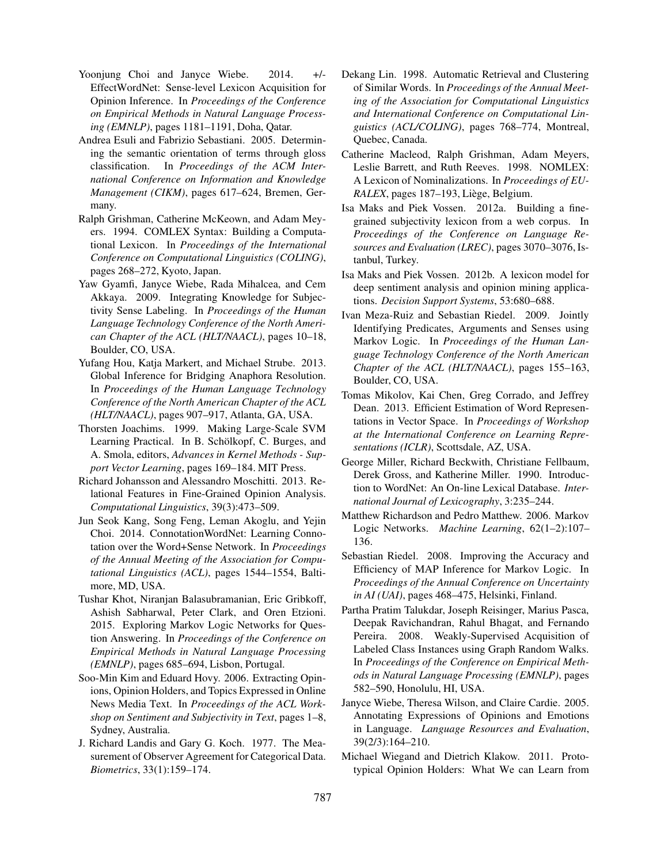- Yoonjung Choi and Janyce Wiebe. 2014. +/-EffectWordNet: Sense-level Lexicon Acquisition for Opinion Inference. In *Proceedings of the Conference on Empirical Methods in Natural Language Processing (EMNLP)*, pages 1181–1191, Doha, Qatar.
- Andrea Esuli and Fabrizio Sebastiani. 2005. Determining the semantic orientation of terms through gloss classification. In *Proceedings of the ACM International Conference on Information and Knowledge Management (CIKM)*, pages 617–624, Bremen, Germany.
- Ralph Grishman, Catherine McKeown, and Adam Meyers. 1994. COMLEX Syntax: Building a Computational Lexicon. In *Proceedings of the International Conference on Computational Linguistics (COLING)*, pages 268–272, Kyoto, Japan.
- Yaw Gyamfi, Janyce Wiebe, Rada Mihalcea, and Cem Akkaya. 2009. Integrating Knowledge for Subjectivity Sense Labeling. In *Proceedings of the Human Language Technology Conference of the North American Chapter of the ACL (HLT/NAACL)*, pages 10–18, Boulder, CO, USA.
- Yufang Hou, Katja Markert, and Michael Strube. 2013. Global Inference for Bridging Anaphora Resolution. In *Proceedings of the Human Language Technology Conference of the North American Chapter of the ACL (HLT/NAACL)*, pages 907–917, Atlanta, GA, USA.
- Thorsten Joachims. 1999. Making Large-Scale SVM Learning Practical. In B. Schölkopf, C. Burges, and A. Smola, editors, *Advances in Kernel Methods - Support Vector Learning*, pages 169–184. MIT Press.
- Richard Johansson and Alessandro Moschitti. 2013. Relational Features in Fine-Grained Opinion Analysis. *Computational Linguistics*, 39(3):473–509.
- Jun Seok Kang, Song Feng, Leman Akoglu, and Yejin Choi. 2014. ConnotationWordNet: Learning Connotation over the Word+Sense Network. In *Proceedings of the Annual Meeting of the Association for Computational Linguistics (ACL)*, pages 1544–1554, Baltimore, MD, USA.
- Tushar Khot, Niranjan Balasubramanian, Eric Gribkoff, Ashish Sabharwal, Peter Clark, and Oren Etzioni. 2015. Exploring Markov Logic Networks for Question Answering. In *Proceedings of the Conference on Empirical Methods in Natural Language Processing (EMNLP)*, pages 685–694, Lisbon, Portugal.
- Soo-Min Kim and Eduard Hovy. 2006. Extracting Opinions, Opinion Holders, and Topics Expressed in Online News Media Text. In *Proceedings of the ACL Workshop on Sentiment and Subjectivity in Text*, pages 1–8, Sydney, Australia.
- J. Richard Landis and Gary G. Koch. 1977. The Measurement of Observer Agreement for Categorical Data. *Biometrics*, 33(1):159–174.
- Dekang Lin. 1998. Automatic Retrieval and Clustering of Similar Words. In *Proceedings of the Annual Meeting of the Association for Computational Linguistics and International Conference on Computational Linguistics (ACL/COLING)*, pages 768–774, Montreal, Quebec, Canada.
- Catherine Macleod, Ralph Grishman, Adam Meyers, Leslie Barrett, and Ruth Reeves. 1998. NOMLEX: A Lexicon of Nominalizations. In *Proceedings of EU-RALEX*, pages 187-193, Liège, Belgium.
- Isa Maks and Piek Vossen. 2012a. Building a finegrained subjectivity lexicon from a web corpus. In *Proceedings of the Conference on Language Resources and Evaluation (LREC)*, pages 3070–3076, Istanbul, Turkey.
- Isa Maks and Piek Vossen. 2012b. A lexicon model for deep sentiment analysis and opinion mining applications. *Decision Support Systems*, 53:680–688.
- Ivan Meza-Ruiz and Sebastian Riedel. 2009. Jointly Identifying Predicates, Arguments and Senses using Markov Logic. In *Proceedings of the Human Language Technology Conference of the North American Chapter of the ACL (HLT/NAACL)*, pages 155–163, Boulder, CO, USA.
- Tomas Mikolov, Kai Chen, Greg Corrado, and Jeffrey Dean. 2013. Efficient Estimation of Word Representations in Vector Space. In *Proceedings of Workshop at the International Conference on Learning Representations (ICLR)*, Scottsdale, AZ, USA.
- George Miller, Richard Beckwith, Christiane Fellbaum, Derek Gross, and Katherine Miller. 1990. Introduction to WordNet: An On-line Lexical Database. *International Journal of Lexicography*, 3:235–244.
- Matthew Richardson and Pedro Matthew. 2006. Markov Logic Networks. *Machine Learning*, 62(1–2):107– 136.
- Sebastian Riedel. 2008. Improving the Accuracy and Efficiency of MAP Inference for Markov Logic. In *Proceedings of the Annual Conference on Uncertainty in AI (UAI)*, pages 468–475, Helsinki, Finland.
- Partha Pratim Talukdar, Joseph Reisinger, Marius Pasca, Deepak Ravichandran, Rahul Bhagat, and Fernando Pereira. 2008. Weakly-Supervised Acquisition of Labeled Class Instances using Graph Random Walks. In *Proceedings of the Conference on Empirical Methods in Natural Language Processing (EMNLP)*, pages 582–590, Honolulu, HI, USA.
- Janyce Wiebe, Theresa Wilson, and Claire Cardie. 2005. Annotating Expressions of Opinions and Emotions in Language. *Language Resources and Evaluation*, 39(2/3):164–210.
- Michael Wiegand and Dietrich Klakow. 2011. Prototypical Opinion Holders: What We can Learn from